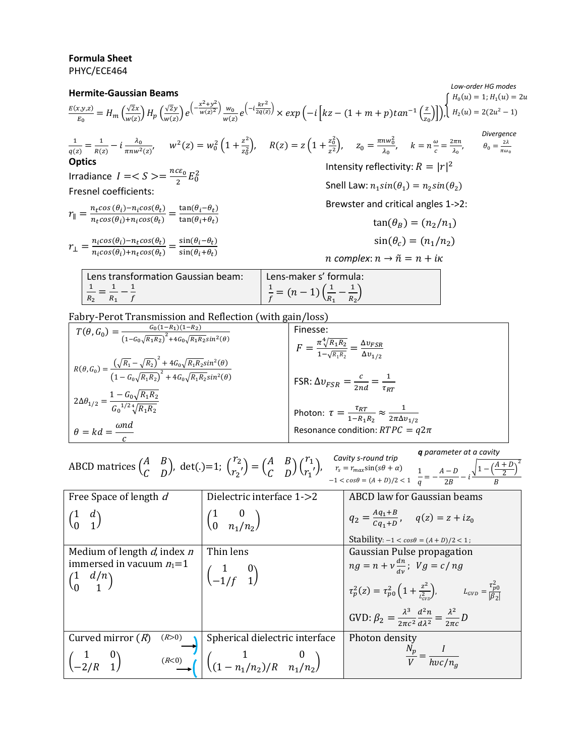## **Formula Sheet**

PHYC/ECE464



| $T(\theta, G_0) = \frac{G_0(1-R_1)(1-R_2)}{(1-G_0\sqrt{R_1R_2})^2 + 4G_0\sqrt{R_1R_2}sin^2(\theta)}$                                                                    | Finesse:                                                                                       |
|-------------------------------------------------------------------------------------------------------------------------------------------------------------------------|------------------------------------------------------------------------------------------------|
|                                                                                                                                                                         | $F = \frac{\pi \sqrt[4]{R_1 R_2}}{1 - \sqrt{R_1 R_2}} = \frac{\Delta v_{FSR}}{\Delta v_{1/2}}$ |
| $R(\theta, G_0) = \frac{\left(\sqrt{R_1} - \sqrt{R_2}\right)^2 + 4G_0\sqrt{R_1R_2}sin^2(\theta)}{\left(1 - G_0\sqrt{R_1R_2}\right)^2 + 4G_0\sqrt{R_1R_2}sin^2(\theta)}$ |                                                                                                |
|                                                                                                                                                                         | FSR: $\Delta v_{FSR} = \frac{c}{2nd} = \frac{1}{\tau_{RT}}$                                    |
| $2\Delta\theta_{1/2} = \frac{1-G_0\sqrt{R_1R_2}}{G_0^{1/2}\sqrt[4]{R_1R_2}}$                                                                                            |                                                                                                |
|                                                                                                                                                                         | Photon: $\tau = \frac{\tau_{RT}}{1 - R_1 R_2} \approx \frac{1}{2\pi \Delta v_{1/2}}$           |
| $\theta = kd = \frac{\omega nd}{\omega}$                                                                                                                                | Resonance condition: $RTPC = q2\pi$                                                            |
|                                                                                                                                                                         |                                                                                                |

|                                                                                                                                                                                                                                                                                                                                                                                                                                |  | <b>q</b> parameter at a cavity |  |
|--------------------------------------------------------------------------------------------------------------------------------------------------------------------------------------------------------------------------------------------------------------------------------------------------------------------------------------------------------------------------------------------------------------------------------|--|--------------------------------|--|
| ABCD matrices $\begin{pmatrix} A & B \\ C & D \end{pmatrix}$ , det(.)=1; $\begin{pmatrix} r_2 \\ r_2 \end{pmatrix} = \begin{pmatrix} A & B \\ C & D \end{pmatrix} \begin{pmatrix} r_1 \\ r_1 \end{pmatrix}$ , $\begin{matrix} Cavity\,s\text{-}round\,trip} \\ r_s = r_{max}sin(s\theta + \alpha) \\ -1 < cos\theta = (A + D)/2 < 1 \end{matrix}$ , $\frac{1}{q} = -\frac{A - D}{2B} - i\frac{\sqrt{1 - (\frac{A}{2B})^2}}{B}$ |  |                                |  |
|                                                                                                                                                                                                                                                                                                                                                                                                                                |  |                                |  |

| Free Space of length d                                                         | Dielectric interface 1->2                                                                               | ABCD law for Gaussian beams                                                                                                                                                                                                                                                   |
|--------------------------------------------------------------------------------|---------------------------------------------------------------------------------------------------------|-------------------------------------------------------------------------------------------------------------------------------------------------------------------------------------------------------------------------------------------------------------------------------|
|                                                                                | $\begin{pmatrix} 1 & 0 \\ 0 & n_1/n_2 \end{pmatrix}$                                                    | $q_2 = \frac{Aq_1+B}{Ca_1+D}$ , $q(z) = z + iz_0$                                                                                                                                                                                                                             |
|                                                                                |                                                                                                         | Stability: $-1 < cos\theta = (A + D)/2 < 1$ ;                                                                                                                                                                                                                                 |
| Medium of length $d$ , index $n$                                               | Thin lens                                                                                               | Gaussian Pulse propagation                                                                                                                                                                                                                                                    |
| immersed in vacuum $n_1=1$<br>$\begin{pmatrix} 1 & d/n \\ 0 & 1 \end{pmatrix}$ | $\begin{pmatrix} 1 & 0 \\ -1/f & 1 \end{pmatrix}$                                                       | $ng = n + v \frac{dn}{dy}$ ; $Vg = c/ng$<br>$\tau_p^2(z) = \tau_{p0}^2 \left( 1 + \frac{z^2}{L_{\text{av}}^2} \right),$ $L_{\text{GVD}} = \frac{\tau_{p0}^2}{ \beta_2 }$<br>GVD: $\beta_2 = \frac{\lambda^3}{2\pi c^2} \frac{d^2 n}{d\lambda^2} = \frac{\lambda^2}{2\pi c} D$ |
|                                                                                |                                                                                                         |                                                                                                                                                                                                                                                                               |
| Curved mirror $(R)$<br>(R>0)                                                   | Spherical dielectric interface                                                                          | Photon density                                                                                                                                                                                                                                                                |
| $\begin{pmatrix} 1 & 0 \\ -2/R & 1 \end{pmatrix}$                              | $\left(\binom{R<0}{\longrightarrow}\right)^{n}$ $\left(\binom{1}{(1-n_1/n_2)/R}^{n_1/n_2}\right)^{n_2}$ | $\frac{N_p}{V} = \frac{1}{hvc/n_g}$                                                                                                                                                                                                                                           |

 $\sqrt{1-\left(\frac{A+D}{2}\right)}$  $\frac{+D}{2}$ <sup>2</sup>